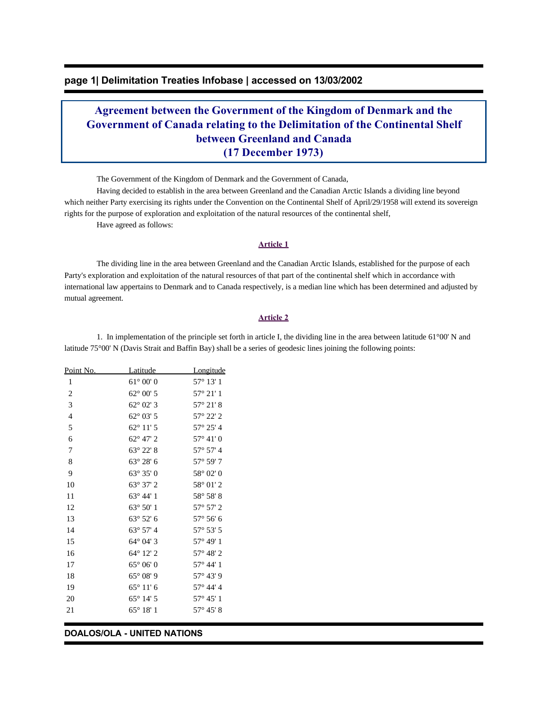## **page 1| Delimitation Treaties Infobase | accessed on 13/03/2002**

# **Agreement between the Government of the Kingdom of Denmark and the Government of Canada relating to the Delimitation of the Continental Shelf between Greenland and Canada (17 December 1973)**

The Government of the Kingdom of Denmark and the Government of Canada,

 Having decided to establish in the area between Greenland and the Canadian Arctic Islands a dividing line beyond which neither Party exercising its rights under the Convention on the Continental Shelf of April/29/1958 will extend its sovereign rights for the purpose of exploration and exploitation of the natural resources of the continental shelf,

Have agreed as follows:

#### **Article 1**

 The dividing line in the area between Greenland and the Canadian Arctic Islands, established for the purpose of each Party's exploration and exploitation of the natural resources of that part of the continental shelf which in accordance with international law appertains to Denmark and to Canada respectively, is a median line which has been determined and adjusted by mutual agreement.

#### **Article 2**

 1. In implementation of the principle set forth in article I, the dividing line in the area between latitude 61°00' N and latitude 75°00' N (Davis Strait and Baffin Bay) shall be a series of geodesic lines joining the following points:

| Point No.      | Latitude           | <u>Longitude</u>   |
|----------------|--------------------|--------------------|
| 1              | $61^{\circ} 00' 0$ | $57^{\circ} 13' 1$ |
| 2              | $62^{\circ}$ 00' 5 | $57^{\circ}$ 21' 1 |
| 3              | $62^{\circ}$ 02' 3 | $57^{\circ} 21' 8$ |
| $\overline{4}$ | $62^{\circ}$ 03' 5 | 57° 22′ 2          |
| 5              | $62^{\circ} 11' 5$ | 57° 25' 4          |
| 6              | 62° 47' 2          | $57^{\circ} 41' 0$ |
| 7              | 63° 22' 8          | $57^{\circ}$ 57' 4 |
| 8              | $63^{\circ} 28' 6$ | 57° 59' 7          |
| 9              | $63^{\circ} 35' 0$ | $58^{\circ}$ 02' 0 |
| 10             | 63° 37' 2          | 58° 01' 2          |
| 11             | $63^{\circ} 44' 1$ | 58° 58' 8          |
| 12             | $63^{\circ} 50' 1$ | $57^{\circ} 57' 2$ |
| 13             | $63^{\circ}52'6$   | $57^{\circ} 56' 6$ |
| 14             | 63° 57' 4          | $57^{\circ} 53' 5$ |
| 15             | 64° 04' 3          | 57° 49' 1          |
| 16             | 64° 12' 2          | 57° 48' 2          |
| 17             | $65^{\circ} 06' 0$ | 57° 44' 1          |
| 18             | $65^{\circ}08'9$   | 57° 43' 9          |
| 19             | $65^{\circ} 11' 6$ | 57° 44' 4          |
| 20             | $65^{\circ}$ 14' 5 | $57^{\circ} 45' 1$ |
| 21             | $65^{\circ} 18' 1$ | $57^{\circ} 45' 8$ |
|                |                    |                    |

#### **DOALOS/OLA - UNITED NATIONS**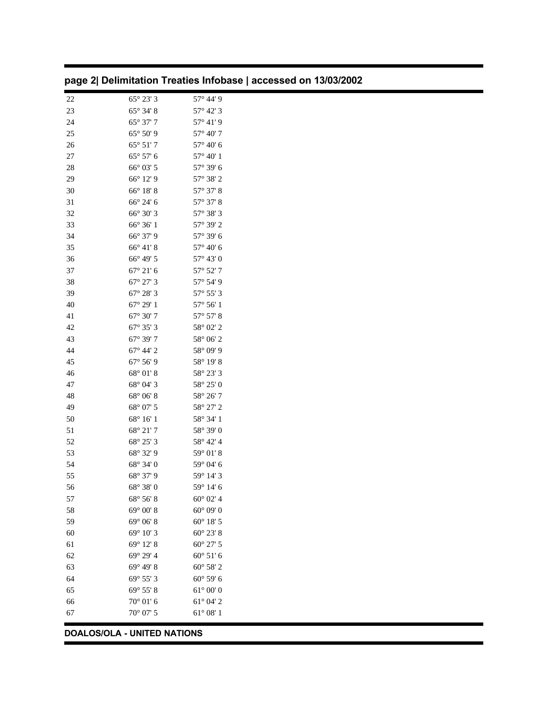## **DOALOS/OLA - UNITED NATIONS**

| 22 | $65^{\circ} 23' 3$ | 57° 44' 9          |
|----|--------------------|--------------------|
| 23 | 65° 34' 8          | 57° 42' 3          |
| 24 | 65° 37' 7          | $57^{\circ}$ 41' 9 |
| 25 | 65° 50' 9          | 57° 40' 7          |
| 26 | $65^{\circ} 51' 7$ | 57° 40' 6          |
| 27 | $65^{\circ} 57' 6$ | 57° 40' 1          |
| 28 | 66° 03' 5          | 57° 39' 6          |
| 29 | 66° 12' 9          | 57° 38' 2          |
| 30 | 66° 18' 8          | 57° 37' 8          |
| 31 | 66° 24' 6          | 57° 37' 8          |
| 32 | 66° 30' 3          | 57° 38' 3          |
| 33 | 66° 36' 1          | 57° 39' 2          |
| 34 | 66° 37' 9          | 57° 39' 6          |
| 35 | $66^{\circ} 41' 8$ | 57° 40' 6          |
| 36 | 66° 49' 5          | $57^{\circ} 43' 0$ |
| 37 | $67^{\circ} 21' 6$ | 57° 52' 7          |
| 38 | 67° 27' 3          | 57° 54' 9          |
| 39 | 67° 28' 3          | 57° 55' 3          |
| 40 | $67^{\circ} 29' 1$ | $57^{\circ} 56' 1$ |
| 41 | $67^{\circ} 30' 7$ | $57^{\circ} 57' 8$ |
| 42 | 67° 35' 3          | 58° 02' 2          |
| 43 | 67° 39' 7          | 58° 06' 2          |
| 44 | $67^{\circ}$ 44' 2 | 58° 09' 9          |
| 45 | 67° 56' 9          | 58° 19' 8          |
| 46 | 68° 01' 8          | 58° 23' 3          |
| 47 | 68° 04' 3          | 58° 25' 0          |
| 48 | 68° 06' 8          | 58° 26' 7          |
| 49 | 68° 07' 5          | 58° 27' 2          |
| 50 | 68° 16' 1          | 58° 34' 1          |
| 51 | 68° 21' 7          | 58° 39' 0          |
| 52 | 68° 25' 3          | 58° 42' 4          |
| 53 | 68° 32' 9          | 59° 01' 8          |
| 54 | 68° 34' 0          | 59° 04' 6          |
| 55 | 68° 37' 9          | 59° 14' 3          |
| 56 | 68° 38' 0          | 59° 14' 6          |
| 57 | 68° 56' 8          | $60^{\circ}$ 02' 4 |
| 58 | 69° 00' 8          | $60^{\circ}$ 09' 0 |
| 59 | $69^{\circ} 06' 8$ | $60^{\circ}$ 18' 5 |
| 60 | 69° 10' 3          | $60^{\circ}$ 23' 8 |
| 61 | 69° 12' 8          | 60° 27' 5          |
| 62 | 69° 29' 4          | $60^{\circ} 51' 6$ |
| 63 | 69° 49' 8          | 60° 58' 2          |
| 64 | $69^{\circ} 55' 3$ | $60^{\circ} 59' 6$ |
| 65 | 69° 55' 8          | $61^{\circ} 00' 0$ |
| 66 | $70^{\circ} 01' 6$ | $61^{\circ}$ 04' 2 |
| 67 | $70^{\circ}$ 07' 5 | $61^{\circ} 08' 1$ |
|    |                    |                    |

| page 2  Delimitation Treaties Infobase   accessed on 13/03/2002 |  |
|-----------------------------------------------------------------|--|
|-----------------------------------------------------------------|--|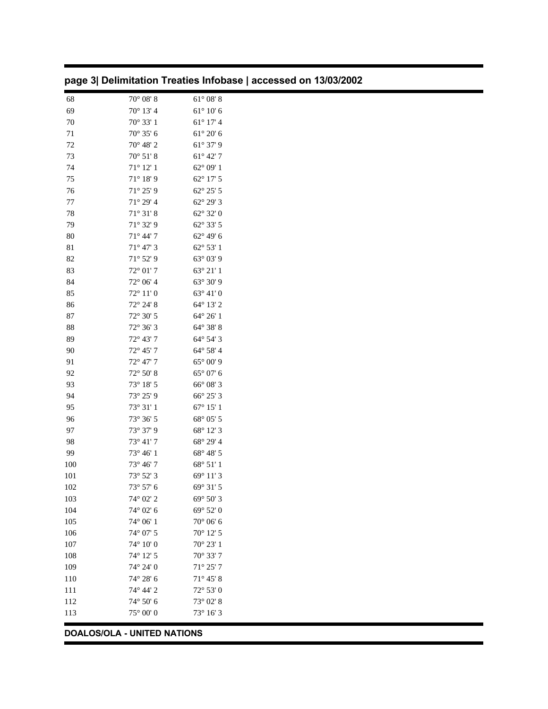| 68                          | $70^{\circ}$ 08' 8             | $61^{\circ}$ 08' 8             |  |  |
|-----------------------------|--------------------------------|--------------------------------|--|--|
| 69                          | 70° 13' 4                      | $61^{\circ}$ $10^{\prime}$ $6$ |  |  |
| $70\,$                      | 70° 33' 1                      | $61^{\circ}$ 17' 4             |  |  |
| 71                          | 70° 35' 6                      | $61^{\circ}$ 20' $6$           |  |  |
| $72\,$                      | 70° 48' 2                      | 61° 37' 9                      |  |  |
| 73                          | $70^{\circ}$ 51' 8             | $61^{\circ}$ 42' $7$           |  |  |
| 74                          | $71^{\circ}$ 12' 1             | $62^{\circ}$ 09' 1             |  |  |
| 75                          | $71^{\circ}$ 18' 9             | $62^{\circ}$ 17' 5             |  |  |
| 76                          | $71^{\circ} 25' 9$             | $62^{\circ}$ 25' 5             |  |  |
| $77 \,$                     | 71° 29' 4                      | 62° 29' 3                      |  |  |
| 78                          | $71^{\circ}$ $31^{\prime}$ $8$ | 62° 32' 0                      |  |  |
| 79                          | 71° 32' 9                      | 62° 33' 5                      |  |  |
| $80\,$                      | $71^{\circ}$ 44' 7             | 62° 49' 6                      |  |  |
| $81\,$                      | $71^{\circ}$ 47' 3             | 62° 53' 1                      |  |  |
| 82                          | $71^{\circ}$ 52' 9             | 63° 03' 9                      |  |  |
| 83                          | $72^{\circ}$ 01' 7             | 63° 21' 1                      |  |  |
| 84                          | 72° 06' 4                      | 63° 30' 9                      |  |  |
| 85                          | $72^{\circ}$ 11' 0             | 63° 41' 0                      |  |  |
| 86                          | 72° 24' 8                      | 64° 13' 2                      |  |  |
| $87\,$                      | 72° 30' 5                      | 64° 26' 1                      |  |  |
| $88\,$                      | 72° 36' 3                      | 64° 38' 8                      |  |  |
| 89                          | 72° 43' 7                      | 64° 54' 3                      |  |  |
| 90                          | 72° 45' 7                      | 64° 58' 4                      |  |  |
| 91                          | 72° 47' 7                      | $65^{\circ}$ 00' 9             |  |  |
| 92                          | $72^{\circ}$ 50' 8             | $65^{\circ}$ 07' $6$           |  |  |
| 93                          | $73^{\circ}$ 18' 5             | 66° 08' 3                      |  |  |
| 94                          | 73° 25' 9                      | 66° 25' 3                      |  |  |
| 95                          | $73^{\circ}$ $31'$ $1$         | $67^\circ$ 15' 1               |  |  |
| 96                          | $73^{\circ}$ 36' 5             | 68° 05' 5                      |  |  |
| 97                          | 73° 37' 9                      | 68° 12' 3                      |  |  |
| 98                          | $73^{\circ}$ 41' 7             | 68° 29' 4                      |  |  |
| 99                          | 73° 46' 1                      | 68° 48' 5                      |  |  |
| 100                         | 73° 46' 7                      | 68° 51' 1                      |  |  |
| 101                         | 73° 52' 3                      | 69° 11′ 3                      |  |  |
| 102                         | $73^{\circ}$ 57' 6             | 69° 31' 5                      |  |  |
| 103                         | 74° 02' 2                      | 69° 50' 3                      |  |  |
| 104                         | $74^{\circ}$ 02' 6             | 69° 52' 0                      |  |  |
| 105                         | $74^{\circ}$ 06' 1             | 70° 06' 6                      |  |  |
| 106                         | $74^{\circ}$ 07' 5             | 70° 12' 5                      |  |  |
| 107                         | $74^{\circ}$ 10' 0             | $70^{\circ}$ 23' 1             |  |  |
| 108                         | 74° 12' 5                      | 70° 33' 7                      |  |  |
| 109                         | 74° 24' 0                      | $71^{\circ} 25'$ 7             |  |  |
| 110                         | 74° 28' 6                      | $71^{\circ}$ 45' 8             |  |  |
| 111                         | 74° 44' 2                      | 72° 53' 0                      |  |  |
| 112                         | $74^{\circ}$ 50' 6             | 73° 02' 8                      |  |  |
| 113                         | $75^{\circ}$ 00' 0             | 73° 16' 3                      |  |  |
| DOALOS/OLA - UNITED NATIONS |                                |                                |  |  |

## **page 3| Delimitation Treaties Infobase | accessed on 13/03/2002**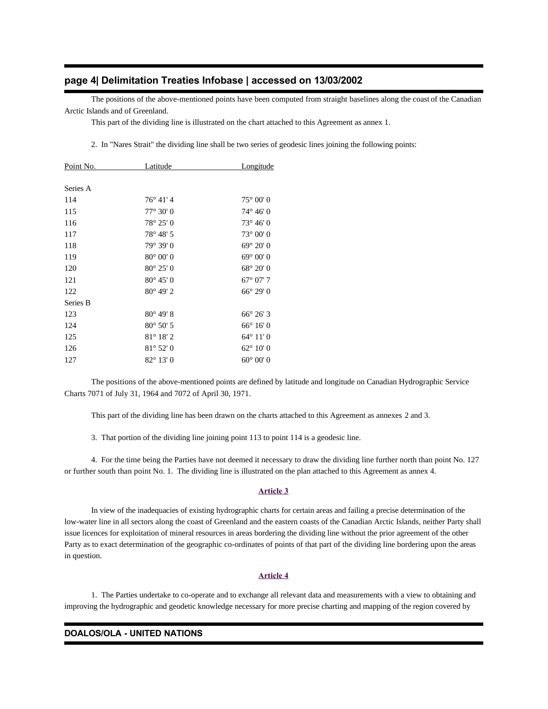## **page 4| Delimitation Treaties Infobase | accessed on 13/03/2002**

 The positions of the above-mentioned points have been computed from straight baselines along the coast of the Canadian Arctic Islands and of Greenland.

This part of the dividing line is illustrated on the chart attached to this Agreement as annex 1.

2. In "Nares Strait" the dividing line shall be two series of geodesic lines joining the following points:

| Point No. | <u>Latitude</u>    | <b>Longitude</b>   |
|-----------|--------------------|--------------------|
|           |                    |                    |
| Series A  |                    |                    |
| 114       | $76^{\circ}$ 41' 4 | $75^{\circ} 00' 0$ |
| 115       | $77^{\circ} 30' 0$ | $74^{\circ} 46' 0$ |
| 116       | $78^{\circ} 25' 0$ | $73^{\circ} 46' 0$ |
| 117       | $78^{\circ} 48' 5$ | $73^{\circ} 00' 0$ |
| 118       | 79° 39' 0          | $69^{\circ} 20' 0$ |
| 119       | $80^{\circ}$ 00' 0 | $69^{\circ} 00' 0$ |
| 120       | $80^{\circ} 25' 0$ | $68^{\circ} 20' 0$ |
| 121       | $80^{\circ} 45' 0$ | $67^{\circ}$ 07' 7 |
| 122       | $80^{\circ}$ 49' 2 | $66^{\circ} 29' 0$ |
| Series B  |                    |                    |
| 123       | $80^{\circ}$ 49' 8 | $66^{\circ} 26' 3$ |
| 124       | $80^{\circ} 50' 5$ | $66^{\circ} 16' 0$ |
| 125       | $81^{\circ} 18' 2$ | $64^{\circ} 11' 0$ |
| 126       | $81^{\circ} 52' 0$ | $62^{\circ} 10' 0$ |
| 127       | $82^{\circ} 13' 0$ | $60^{\circ} 00' 0$ |

 The positions of the above-mentioned points are defined by latitude and longitude on Canadian Hydrographic Service Charts 7071 of July 31, 1964 and 7072 of April 30, 1971.

This part of the dividing line has been drawn on the charts attached to this Agreement as annexes 2 and 3.

3. That portion of the dividing line joining point 113 to point 114 is a geodesic line.

 4. For the time being the Parties have not deemed it necessary to draw the dividing line further north than point No. 127 or further south than point No. 1. The dividing line is illustrated on the plan attached to this Agreement as annex 4.

#### **Article 3**

 In view of the inadequacies of existing hydrographic charts for certain areas and failing a precise determination of the low-water line in all sectors along the coast of Greenland and the eastern coasts of the Canadian Arctic Islands, neither Party shall issue licences for exploitation of mineral resources in areas bordering the dividing line without the prior agreement of the other Party as to exact determination of the geographic co-ordinates of points of that part of the dividing line bordering upon the areas in question.

### **Article 4**

 1. The Parties undertake to co-operate and to exchange all relevant data and measurements with a view to obtaining and improving the hydrographic and geodetic knowledge necessary for more precise charting and mapping of the region covered by

#### **DOALOS/OLA - UNITED NATIONS**